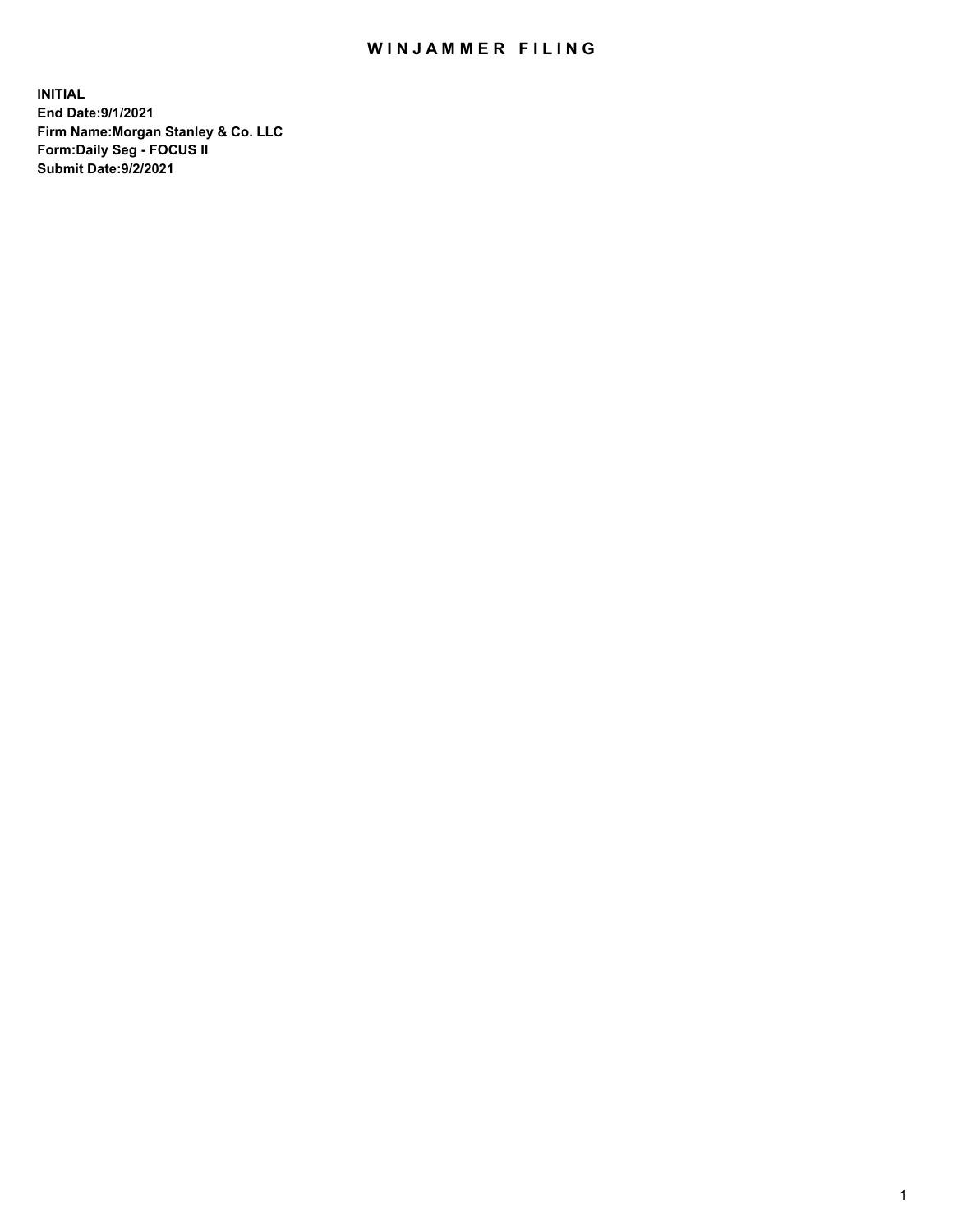## WIN JAMMER FILING

**INITIAL End Date:9/1/2021 Firm Name:Morgan Stanley & Co. LLC Form:Daily Seg - FOCUS II Submit Date:9/2/2021**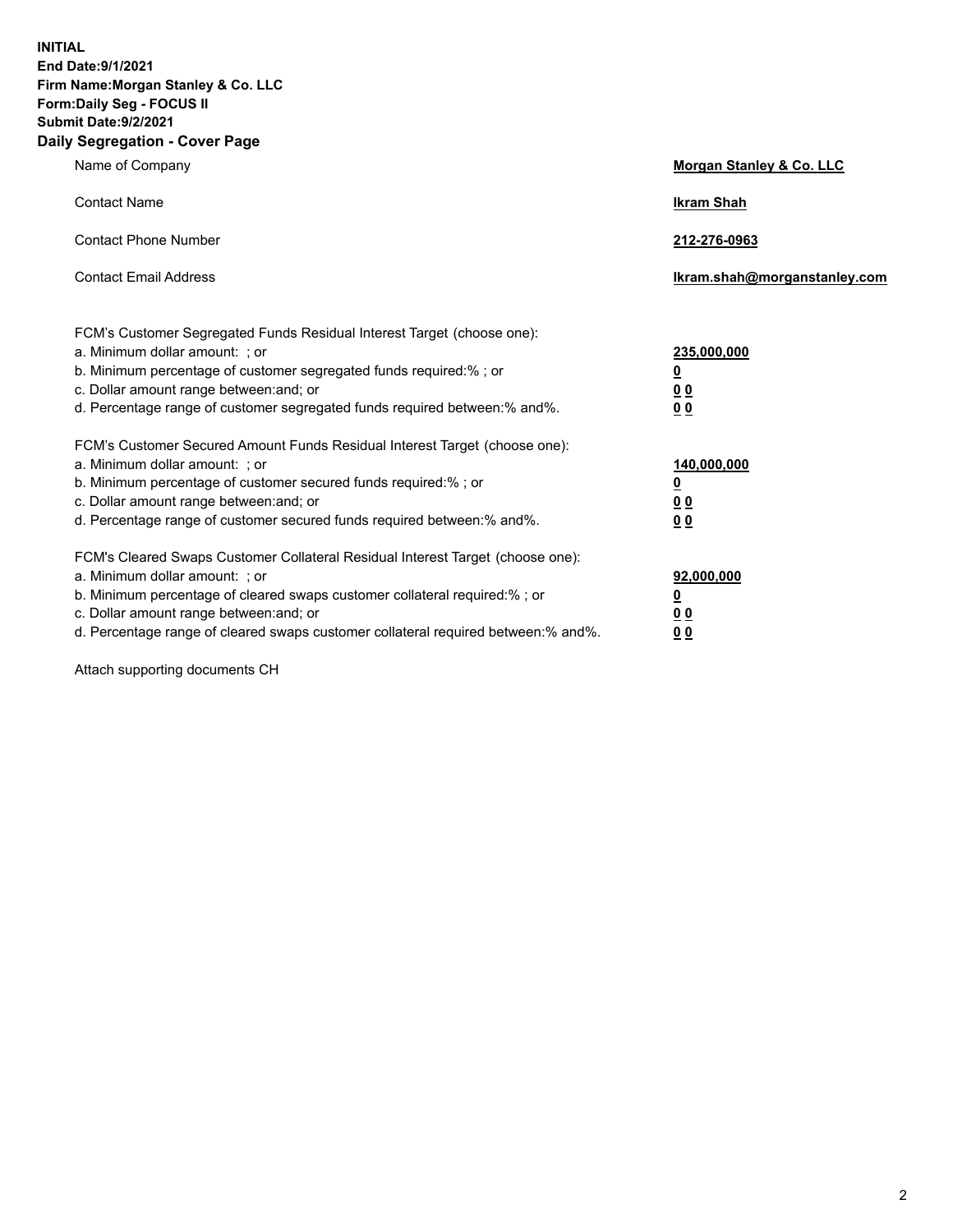**INITIAL End Date:9/1/2021 Firm Name:Morgan Stanley & Co. LLC Form:Daily Seg - FOCUS II Submit Date:9/2/2021 Daily Segregation - Cover Page**

| Name of Company                                                                                                                                                                                                                                                                                                               | Morgan Stanley & Co. LLC                                       |
|-------------------------------------------------------------------------------------------------------------------------------------------------------------------------------------------------------------------------------------------------------------------------------------------------------------------------------|----------------------------------------------------------------|
| <b>Contact Name</b>                                                                                                                                                                                                                                                                                                           | <b>Ikram Shah</b>                                              |
| <b>Contact Phone Number</b>                                                                                                                                                                                                                                                                                                   | 212-276-0963                                                   |
| <b>Contact Email Address</b>                                                                                                                                                                                                                                                                                                  | Ikram.shah@morganstanley.com                                   |
| FCM's Customer Segregated Funds Residual Interest Target (choose one):<br>a. Minimum dollar amount: ; or<br>b. Minimum percentage of customer segregated funds required:% ; or<br>c. Dollar amount range between: and; or<br>d. Percentage range of customer segregated funds required between:% and%.                        | 235,000,000<br><u>0</u><br><u>0 0</u><br>0 Q                   |
| FCM's Customer Secured Amount Funds Residual Interest Target (choose one):<br>a. Minimum dollar amount: ; or<br>b. Minimum percentage of customer secured funds required:%; or<br>c. Dollar amount range between: and; or<br>d. Percentage range of customer secured funds required between: % and %.                         | 140,000,000<br><u>0</u><br><u>00</u><br>0 <sup>0</sup>         |
| FCM's Cleared Swaps Customer Collateral Residual Interest Target (choose one):<br>a. Minimum dollar amount: ; or<br>b. Minimum percentage of cleared swaps customer collateral required:%; or<br>c. Dollar amount range between: and; or<br>d. Percentage range of cleared swaps customer collateral required between:% and%. | 92,000,000<br>$\overline{\mathbf{0}}$<br>0 Q<br>0 <sub>0</sub> |

Attach supporting documents CH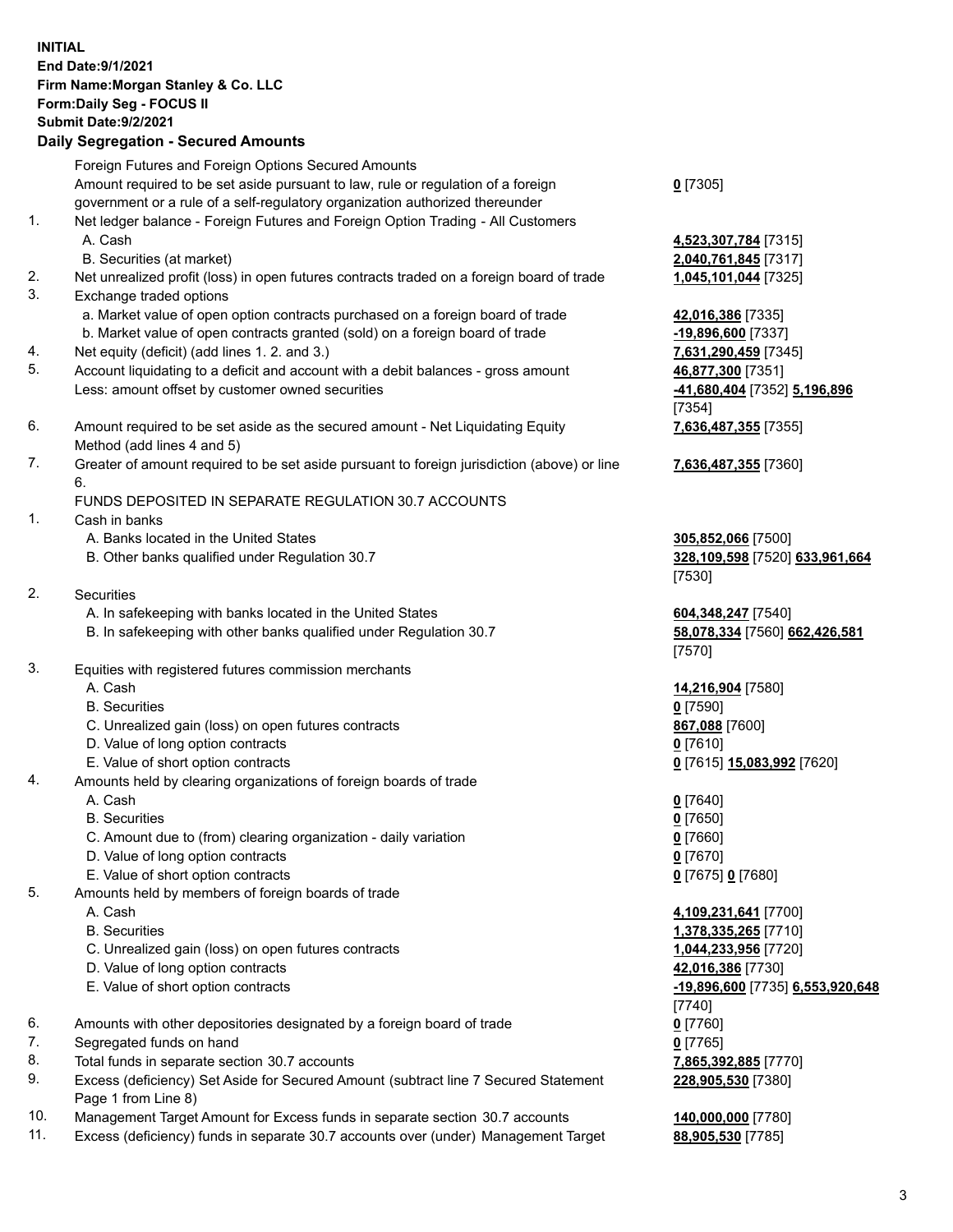| <b>INITIAL</b> | <b>End Date: 9/1/2021</b><br>Firm Name: Morgan Stanley & Co. LLC<br>Form: Daily Seg - FOCUS II<br><b>Submit Date: 9/2/2021</b><br><b>Daily Segregation - Secured Amounts</b> |                                                       |
|----------------|------------------------------------------------------------------------------------------------------------------------------------------------------------------------------|-------------------------------------------------------|
|                | Foreign Futures and Foreign Options Secured Amounts                                                                                                                          |                                                       |
|                | Amount required to be set aside pursuant to law, rule or regulation of a foreign                                                                                             | $0$ [7305]                                            |
| 1.             | government or a rule of a self-regulatory organization authorized thereunder<br>Net ledger balance - Foreign Futures and Foreign Option Trading - All Customers              |                                                       |
|                | A. Cash                                                                                                                                                                      | 4,523,307,784 [7315]                                  |
|                | B. Securities (at market)                                                                                                                                                    | 2,040,761,845 [7317]                                  |
| 2.             | Net unrealized profit (loss) in open futures contracts traded on a foreign board of trade                                                                                    | 1,045,101,044 [7325]                                  |
| 3.             | Exchange traded options                                                                                                                                                      |                                                       |
|                | a. Market value of open option contracts purchased on a foreign board of trade<br>b. Market value of open contracts granted (sold) on a foreign board of trade               | 42,016,386 [7335]<br>$-19,896,600$ [7337]             |
| 4.             | Net equity (deficit) (add lines 1.2. and 3.)                                                                                                                                 | 7,631,290,459 [7345]                                  |
| 5.             | Account liquidating to a deficit and account with a debit balances - gross amount                                                                                            | 46,877,300 [7351]                                     |
|                | Less: amount offset by customer owned securities                                                                                                                             | -41,680,404 [7352] 5,196,896                          |
|                |                                                                                                                                                                              | [7354]                                                |
| 6.             | Amount required to be set aside as the secured amount - Net Liquidating Equity                                                                                               | 7,636,487,355 [7355]                                  |
| 7.             | Method (add lines 4 and 5)<br>Greater of amount required to be set aside pursuant to foreign jurisdiction (above) or line                                                    |                                                       |
|                | 6.                                                                                                                                                                           | 7,636,487,355 [7360]                                  |
|                | FUNDS DEPOSITED IN SEPARATE REGULATION 30.7 ACCOUNTS                                                                                                                         |                                                       |
| 1.             | Cash in banks                                                                                                                                                                |                                                       |
|                | A. Banks located in the United States                                                                                                                                        | 305,852,066 [7500]                                    |
|                | B. Other banks qualified under Regulation 30.7                                                                                                                               | 328,109,598 [7520] 633,961,664                        |
| 2.             | Securities                                                                                                                                                                   | [7530]                                                |
|                | A. In safekeeping with banks located in the United States                                                                                                                    | 604, 348, 247 [7540]                                  |
|                | B. In safekeeping with other banks qualified under Regulation 30.7                                                                                                           | 58,078,334 [7560] 662,426,581                         |
|                |                                                                                                                                                                              | [7570]                                                |
| 3.             | Equities with registered futures commission merchants                                                                                                                        |                                                       |
|                | A. Cash                                                                                                                                                                      | 14,216,904 [7580]                                     |
|                | <b>B.</b> Securities<br>C. Unrealized gain (loss) on open futures contracts                                                                                                  | $0$ [7590]<br>867,088 [7600]                          |
|                | D. Value of long option contracts                                                                                                                                            | $0$ [7610]                                            |
|                | E. Value of short option contracts                                                                                                                                           | 0 [7615] 15,083,992 [7620]                            |
| 4.             | Amounts held by clearing organizations of foreign boards of trade                                                                                                            |                                                       |
|                | A. Cash                                                                                                                                                                      | $0$ [7640]                                            |
|                | <b>B.</b> Securities                                                                                                                                                         | $0$ [7650]                                            |
|                | C. Amount due to (from) clearing organization - daily variation<br>D. Value of long option contracts                                                                         | $0$ [7660]<br>$0$ [7670]                              |
|                | E. Value of short option contracts                                                                                                                                           | $0$ [7675] 0 [7680]                                   |
| 5.             | Amounts held by members of foreign boards of trade                                                                                                                           |                                                       |
|                | A. Cash                                                                                                                                                                      | 4,109,231,641 [7700]                                  |
|                | <b>B.</b> Securities                                                                                                                                                         | 1,378,335,265 [7710]                                  |
|                | C. Unrealized gain (loss) on open futures contracts                                                                                                                          | 1,044,233,956 [7720]                                  |
|                | D. Value of long option contracts<br>E. Value of short option contracts                                                                                                      | 42,016,386 [7730]<br>-19,896,600 [7735] 6,553,920,648 |
|                |                                                                                                                                                                              | $[7740]$                                              |
| 6.             | Amounts with other depositories designated by a foreign board of trade                                                                                                       | $0$ [7760]                                            |
| 7.             | Segregated funds on hand                                                                                                                                                     | $0$ [7765]                                            |
| 8.             | Total funds in separate section 30.7 accounts                                                                                                                                | 7,865,392,885 [7770]                                  |
| 9.             | Excess (deficiency) Set Aside for Secured Amount (subtract line 7 Secured Statement<br>Page 1 from Line 8)                                                                   | 228,905,530 [7380]                                    |
|                |                                                                                                                                                                              |                                                       |

10. Management Target Amount for Excess funds in separate section 30.7 accounts

| Management Target Amount for Excess funds in separate section 30.7 accounts        | 140,000,000 [7780]       |
|------------------------------------------------------------------------------------|--------------------------|
| Excess (deficiency) funds in separate 30.7 accounts over (under) Management Target | <u>88,905,530</u> [7785] |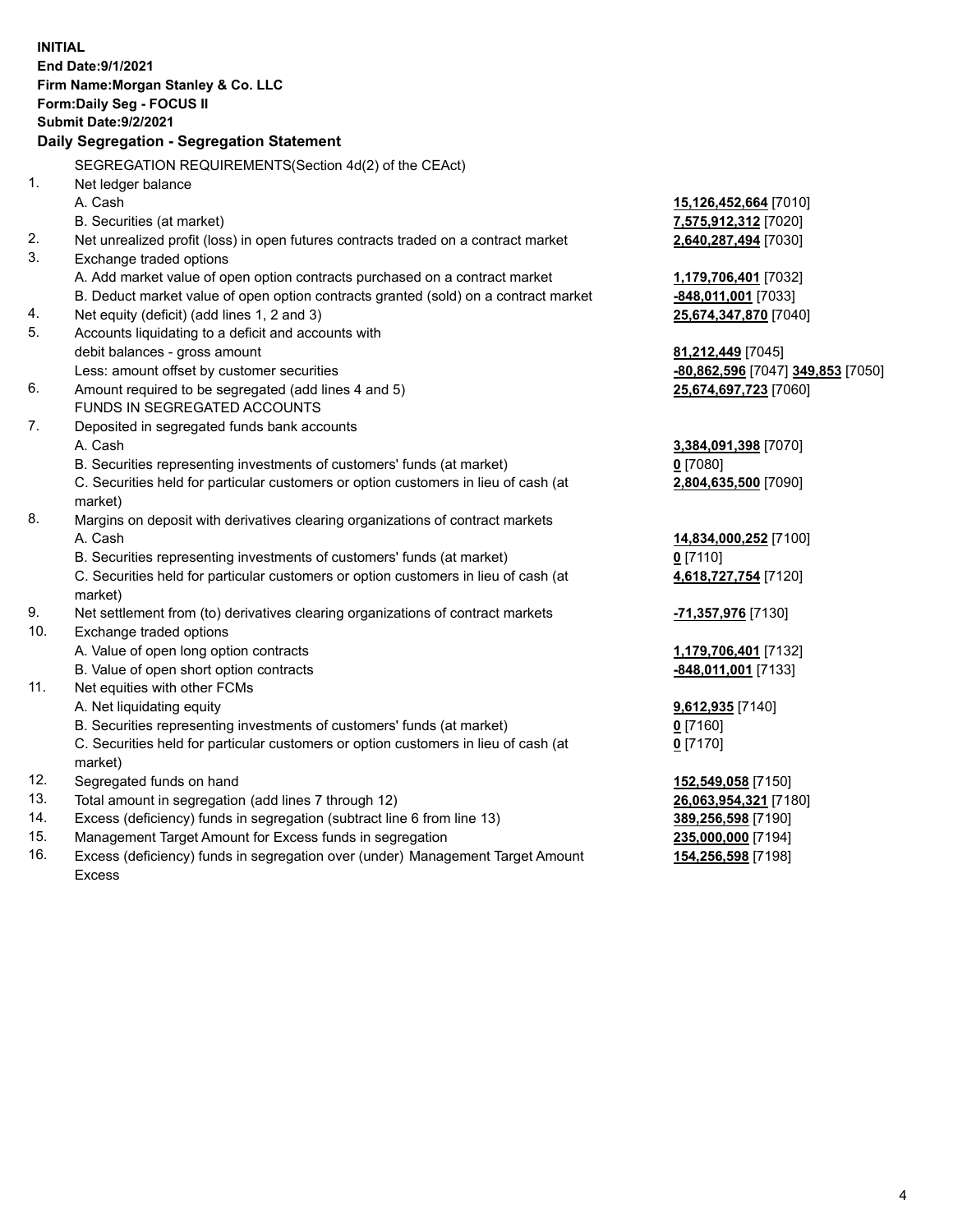| <b>INITIAL</b> |                                                                                     |                                   |
|----------------|-------------------------------------------------------------------------------------|-----------------------------------|
|                | <b>End Date: 9/1/2021</b>                                                           |                                   |
|                | Firm Name: Morgan Stanley & Co. LLC                                                 |                                   |
|                | Form: Daily Seg - FOCUS II                                                          |                                   |
|                | <b>Submit Date: 9/2/2021</b>                                                        |                                   |
|                | Daily Segregation - Segregation Statement                                           |                                   |
|                | SEGREGATION REQUIREMENTS(Section 4d(2) of the CEAct)                                |                                   |
| 1.             | Net ledger balance                                                                  |                                   |
|                | A. Cash                                                                             | 15,126,452,664 [7010]             |
|                | B. Securities (at market)                                                           | 7,575,912,312 [7020]              |
| 2.             | Net unrealized profit (loss) in open futures contracts traded on a contract market  | 2,640,287,494 [7030]              |
| 3.             | Exchange traded options                                                             |                                   |
|                | A. Add market value of open option contracts purchased on a contract market         | 1,179,706,401 [7032]              |
|                | B. Deduct market value of open option contracts granted (sold) on a contract market | -848,011,001 [7033]               |
| 4.             | Net equity (deficit) (add lines 1, 2 and 3)                                         | 25,674,347,870 [7040]             |
| 5.             | Accounts liquidating to a deficit and accounts with                                 |                                   |
|                | debit balances - gross amount                                                       | 81,212,449 [7045]                 |
|                | Less: amount offset by customer securities                                          | -80,862,596 [7047] 349,853 [7050] |
| 6.             | Amount required to be segregated (add lines 4 and 5)                                | 25,674,697,723 [7060]             |
|                | FUNDS IN SEGREGATED ACCOUNTS                                                        |                                   |
| 7.             | Deposited in segregated funds bank accounts                                         |                                   |
|                | A. Cash                                                                             | 3,384,091,398 [7070]              |
|                | B. Securities representing investments of customers' funds (at market)              | $0$ [7080]                        |
|                | C. Securities held for particular customers or option customers in lieu of cash (at | 2,804,635,500 [7090]              |
|                | market)                                                                             |                                   |
| 8.             | Margins on deposit with derivatives clearing organizations of contract markets      |                                   |
|                | A. Cash                                                                             | 14,834,000,252 [7100]             |
|                | B. Securities representing investments of customers' funds (at market)              | $0$ [7110]                        |
|                | C. Securities held for particular customers or option customers in lieu of cash (at | 4,618,727,754 [7120]              |
|                | market)                                                                             |                                   |
| 9.             | Net settlement from (to) derivatives clearing organizations of contract markets     | -71,357,976 [7130]                |
| 10.            | Exchange traded options                                                             |                                   |
|                | A. Value of open long option contracts                                              | 1,179,706,401 [7132]              |
|                | B. Value of open short option contracts                                             | -848,011,001 [7133]               |
| 11.            | Net equities with other FCMs                                                        |                                   |
|                | A. Net liquidating equity                                                           | 9,612,935 [7140]                  |
|                | B. Securities representing investments of customers' funds (at market)              | $0$ [7160]                        |
|                | C. Securities held for particular customers or option customers in lieu of cash (at | $0$ [7170]                        |
|                | market)                                                                             |                                   |
| 12.            | Segregated funds on hand                                                            | 152,549,058 [7150]                |
| 13.            | Total amount in segregation (add lines 7 through 12)                                | 26,063,954,321 [7180]             |
| 14.            | Excess (deficiency) funds in segregation (subtract line 6 from line 13)             | 389,256,598 [7190]                |
| 15.            | Management Target Amount for Excess funds in segregation                            | 235,000,000 [7194]                |

16. Excess (deficiency) funds in segregation over (under) Management Target Amount Excess

**154,256,598** [7198]